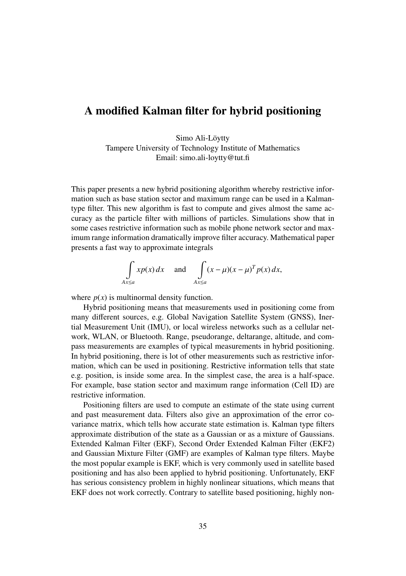## A modified Kalman filter for hybrid positioning

Simo Ali-Löytty Tampere University of Technology Institute of Mathematics Email: simo.ali-loytty@tut.fi

This paper presents a new hybrid positioning algorithm whereby restrictive information such as base station sector and maximum range can be used in a Kalmantype filter. This new algorithm is fast to compute and gives almost the same accuracy as the particle filter with millions of particles. Simulations show that in some cases restrictive information such as mobile phone network sector and maximum range information dramatically improve filter accuracy. Mathematical paper presents a fast way to approximate integrals

$$
\int_{Ax \le a} x p(x) dx \quad \text{and} \quad \int_{Ax \le a} (x - \mu)(x - \mu)^T p(x) dx,
$$

where  $p(x)$  is multinormal density function.

Hybrid positioning means that measurements used in positioning come from many different sources, e.g. Global Navigation Satellite System (GNSS), Inertial Measurement Unit (IMU), or local wireless networks such as a cellular network, WLAN, or Bluetooth. Range, pseudorange, deltarange, altitude, and compass measurements are examples of typical measurements in hybrid positioning. In hybrid positioning, there is lot of other measurements such as restrictive information, which can be used in positioning. Restrictive information tells that state e.g. position, is inside some area. In the simplest case, the area is a half-space. For example, base station sector and maximum range information (Cell ID) are restrictive information.

Positioning filters are used to compute an estimate of the state using current and past measurement data. Filters also give an approximation of the error covariance matrix, which tells how accurate state estimation is. Kalman type filters approximate distribution of the state as a Gaussian or as a mixture of Gaussians. Extended Kalman Filter (EKF), Second Order Extended Kalman Filter (EKF2) and Gaussian Mixture Filter (GMF) are examples of Kalman type filters. Maybe the most popular example is EKF, which is very commonly used in satellite based positioning and has also been applied to hybrid positioning. Unfortunately, EKF has serious consistency problem in highly nonlinear situations, which means that EKF does not work correctly. Contrary to satellite based positioning, highly non-